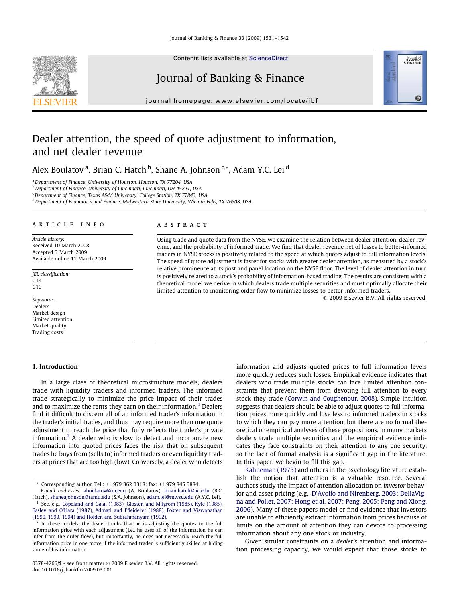

## Dealer attention, the speed of quote adjustment to information, and net dealer revenue

Alex Boulatov<sup>a</sup>, Brian C. Hatch <sup>b</sup>, Shane A. Johnson <sup>c,</sup>\*, Adam Y.C. Lei <sup>d</sup>

<sup>a</sup> Department of Finance, University of Houston, Houston, TX 77204, USA

b Department of Finance, University of Cincinnati, Cincinnati, OH 45221, USA

<sup>c</sup> Department of Finance, Texas A&M University, College Station, TX 77843, USA

<sup>d</sup> Department of Economics and Finance, Midwestern State University, Wichita Falls, TX 76308, USA

#### article info

Article history: Received 10 March 2008 Accepted 3 March 2009 Available online 11 March 2009

JEL classification: G14 G<sub>19</sub>

Keywords: Dealers Market design Limited attention Market quality Trading costs

#### 1. Introduction

In a large class of theoretical microstructure models, dealers trade with liquidity traders and informed traders. The informed trade strategically to minimize the price impact of their trades and to maximize the rents they earn on their information.<sup>1</sup> Dealers find it difficult to discern all of an informed trader's information in the trader's initial trades, and thus may require more than one quote adjustment to reach the price that fully reflects the trader's private information.<sup>2</sup> A dealer who is slow to detect and incorporate new information into quoted prices faces the risk that on subsequent trades he buys from (sells to) informed traders or even liquidity traders at prices that are too high (low). Conversely, a dealer who detects

E-mail addresses: [aboulatov@uh.edu](mailto:aboulatov@uh.edu) (A. Boulatov), [brian.hatch@uc.edu](mailto:brian.hatch@uc.edu) (B.C. Hatch), [shaneajohnson@tamu.edu](mailto:shaneajohnson@tamu.edu) (S.A. Johnson), [adam.lei@mwsu.edu](mailto:adam.lei@mwsu.edu) (A.Y.C. Lei). <sup>1</sup> See, e.g., [Copeland and Galai \(1983\), Glosten and Milgrom \(1985\), Kyle \(1985\),](#page--1-0) [Easley and O'Hara \(1987\), Admati and Pfleiderer \(1988\), Foster and Viswanathan](#page--1-0)

In these models, the dealer thinks that he is adjusting the quotes to the full information price with each adjustment (i.e., he uses all of the information he can infer from the order flow), but importantly, he does not necessarily reach the full information price in one move if the informed trader is sufficiently skilled at hiding some of his information.

### ABSTRACT

Using trade and quote data from the NYSE, we examine the relation between dealer attention, dealer revenue, and the probability of informed trade. We find that dealer revenue net of losses to better-informed traders in NYSE stocks is positively related to the speed at which quotes adjust to full information levels. The speed of quote adjustment is faster for stocks with greater dealer attention, as measured by a stock's relative prominence at its post and panel location on the NYSE floor. The level of dealer attention in turn is positively related to a stock's probability of information-based trading. The results are consistent with a theoretical model we derive in which dealers trade multiple securities and must optimally allocate their limited attention to monitoring order flow to minimize losses to better-informed traders.

- 2009 Elsevier B.V. All rights reserved.

information and adjusts quoted prices to full information levels more quickly reduces such losses. Empirical evidence indicates that dealers who trade multiple stocks can face limited attention constraints that prevent them from devoting full attention to every stock they trade [\(Corwin and Coughenour, 2008\)](#page--1-0). Simple intuition suggests that dealers should be able to adjust quotes to full information prices more quickly and lose less to informed traders in stocks to which they can pay more attention, but there are no formal theoretical or empirical analyses of these propositions. In many markets dealers trade multiple securities and the empirical evidence indicates they face constraints on their attention to any one security, so the lack of formal analysis is a significant gap in the literature. In this paper, we begin to fill this gap.

[Kahneman \(1973\)](#page--1-0) and others in the psychology literature establish the notion that attention is a valuable resource. Several authors study the impact of attention allocation on investor behavior and asset pricing (e.g., [D'Avolio and Nirenberg, 2003; DellaVig](#page--1-0)[na and Pollet, 2007; Hong et al, 2007; Peng, 2005; Peng and Xiong,](#page--1-0) [2006](#page--1-0)). Many of these papers model or find evidence that investors are unable to efficiently extract information from prices because of limits on the amount of attention they can devote to processing information about any one stock or industry.

Given similar constraints on a dealer's attention and information processing capacity, we would expect that those stocks to

<sup>\*</sup> Corresponding author. Tel.: +1 979 862 3318; fax: +1 979 845 3884.

[<sup>\(1990, 1993, 1994\)</sup> and Holden and Subrahmanyam \(1992\).](#page--1-0)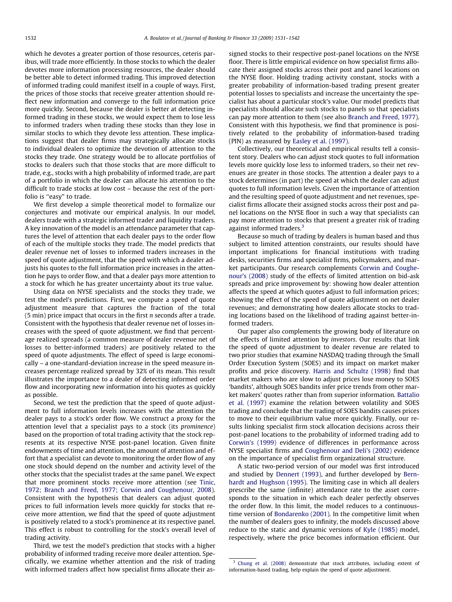which he devotes a greater portion of those resources, ceteris paribus, will trade more efficiently. In those stocks to which the dealer devotes more information processing resources, the dealer should be better able to detect informed trading. This improved detection of informed trading could manifest itself in a couple of ways. First, the prices of those stocks that receive greater attention should reflect new information and converge to the full information price more quickly. Second, because the dealer is better at detecting informed trading in these stocks, we would expect them to lose less to informed traders when trading these stocks than they lose in similar stocks to which they devote less attention. These implications suggest that dealer firms may strategically allocate stocks to individual dealers to optimize the devotion of attention to the stocks they trade. One strategy would be to allocate portfolios of stocks to dealers such that those stocks that are more difficult to trade, e.g., stocks with a high probability of informed trade, are part of a portfolio in which the dealer can allocate his attention to the difficult to trade stocks at low cost – because the rest of the portfolio is "easy" to trade.

We first develop a simple theoretical model to formalize our conjectures and motivate our empirical analysis. In our model, dealers trade with a strategic informed trader and liquidity traders. A key innovation of the model is an attendance parameter that captures the level of attention that each dealer pays to the order flow of each of the multiple stocks they trade. The model predicts that dealer revenue net of losses to informed traders increases in the speed of quote adjustment, that the speed with which a dealer adjusts his quotes to the full information price increases in the attention he pays to order flow, and that a dealer pays more attention to a stock for which he has greater uncertainty about its true value.

Using data on NYSE specialists and the stocks they trade, we test the model's predictions. First, we compute a speed of quote adjustment measure that captures the fraction of the total (5 min) price impact that occurs in the first n seconds after a trade. Consistent with the hypothesis that dealer revenue net of losses increases with the speed of quote adjustment, we find that percentage realized spreads (a common measure of dealer revenue net of losses to better-informed traders) are positively related to the speed of quote adjustments. The effect of speed is large economically – a one-standard-deviation increase in the speed measure increases percentage realized spread by 32% of its mean. This result illustrates the importance to a dealer of detecting informed order flow and incorporating new information into his quotes as quickly as possible.

Second, we test the prediction that the speed of quote adjustment to full information levels increases with the attention the dealer pays to a stock's order flow. We construct a proxy for the attention level that a specialist pays to a stock (its prominence) based on the proportion of total trading activity that the stock represents at its respective NYSE post-panel location. Given finite endowments of time and attention, the amount of attention and effort that a specialist can devote to monitoring the order flow of any one stock should depend on the number and activity level of the other stocks that the specialist trades at the same panel. We expect that more prominent stocks receive more attention (see [Tinic,](#page--1-0) [1972; Branch and Freed, 1977; Corwin and Coughenour, 2008\)](#page--1-0). Consistent with the hypothesis that dealers can adjust quoted prices to full information levels more quickly for stocks that receive more attention, we find that the speed of quote adjustment is positively related to a stock's prominence at its respective panel. This effect is robust to controlling for the stock's overall level of trading activity.

Third, we test the model's prediction that stocks with a higher probability of informed trading receive more dealer attention. Specifically, we examine whether attention and the risk of trading with informed traders affect how specialist firms allocate their assigned stocks to their respective post-panel locations on the NYSE floor. There is little empirical evidence on how specialist firms allocate their assigned stocks across their post and panel locations on the NYSE floor. Holding trading activity constant, stocks with a greater probability of information-based trading present greater potential losses to specialists and increase the uncertainty the specialist has about a particular stock's value. Our model predicts that specialists should allocate such stocks to panels so that specialists can pay more attention to them (see also [Branch and Freed, 1977\)](#page--1-0). Consistent with this hypothesis, we find that prominence is positively related to the probability of information-based trading (PIN) as measured by [Easley et al. \(1997\).](#page--1-0)

Collectively, our theoretical and empirical results tell a consistent story. Dealers who can adjust stock quotes to full information levels more quickly lose less to informed traders, so their net revenues are greater in those stocks. The attention a dealer pays to a stock determines (in part) the speed at which the dealer can adjust quotes to full information levels. Given the importance of attention and the resulting speed of quote adjustment and net revenues, specialist firms allocate their assigned stocks across their post and panel locations on the NYSE floor in such a way that specialists can pay more attention to stocks that present a greater risk of trading against informed traders.<sup>3</sup>

Because so much of trading by dealers is human based and thus subject to limited attention constraints, our results should have important implications for financial institutions with trading desks, securities firms and specialist firms, policymakers, and market participants. Our research complements [Corwin and Coughe](#page--1-0)[nour's \(2008\)](#page--1-0) study of the effects of limited attention on bid-ask spreads and price improvement by: showing how dealer attention affects the speed at which quotes adjust to full information prices; showing the effect of the speed of quote adjustment on net dealer revenues; and demonstrating how dealers allocate stocks to trading locations based on the likelihood of trading against better-informed traders.

Our paper also complements the growing body of literature on the effects of limited attention by investors. Our results that link the speed of quote adjustment to dealer revenue are related to two prior studies that examine NASDAQ trading through the Small Order Execution System (SOES) and its impact on market maker profits and price discovery. [Harris and Schultz \(1998\)](#page--1-0) find that market makers who are slow to adjust prices lose money to SOES 'bandits', although SOES bandits infer price trends from other market makers' quotes rather than from superior information. [Battalio](#page--1-0) [et al. \(1997\)](#page--1-0) examine the relation between volatility and SOES trading and conclude that the trading of SOES bandits causes prices to move to their equilibrium value more quickly. Finally, our results linking specialist firm stock allocation decisions across their post-panel locations to the probability of informed trading add to [Corwin's \(1999\)](#page--1-0) evidence of differences in performance across NYSE specialist firms and [Coughenour and Deli's \(2002\)](#page--1-0) evidence on the importance of specialist firm organizational structure.

A static two-period version of our model was first introduced and studied by [Dennert \(1993\)](#page--1-0), and further developed by [Bern](#page--1-0)[hardt and Hughson \(1995\).](#page--1-0) The limiting case in which all dealers prescribe the same (infinite) attendance rate to the asset corresponds to the situation in which each dealer perfectly observes the order flow. In this limit, the model reduces to a continuoustime version of [Bondarenko \(2001\)](#page--1-0). In the competitive limit when the number of dealers goes to infinity, the models discussed above reduce to the static and dynamic versions of [Kyle \(1985\)](#page--1-0) model, respectively, where the price becomes information efficient. Our

<sup>&</sup>lt;sup>3</sup> [Chung et al. \(2008\)](#page--1-0) demonstrate that stock attributes, including extent of information-based trading, help explain the speed of quote adjustment.